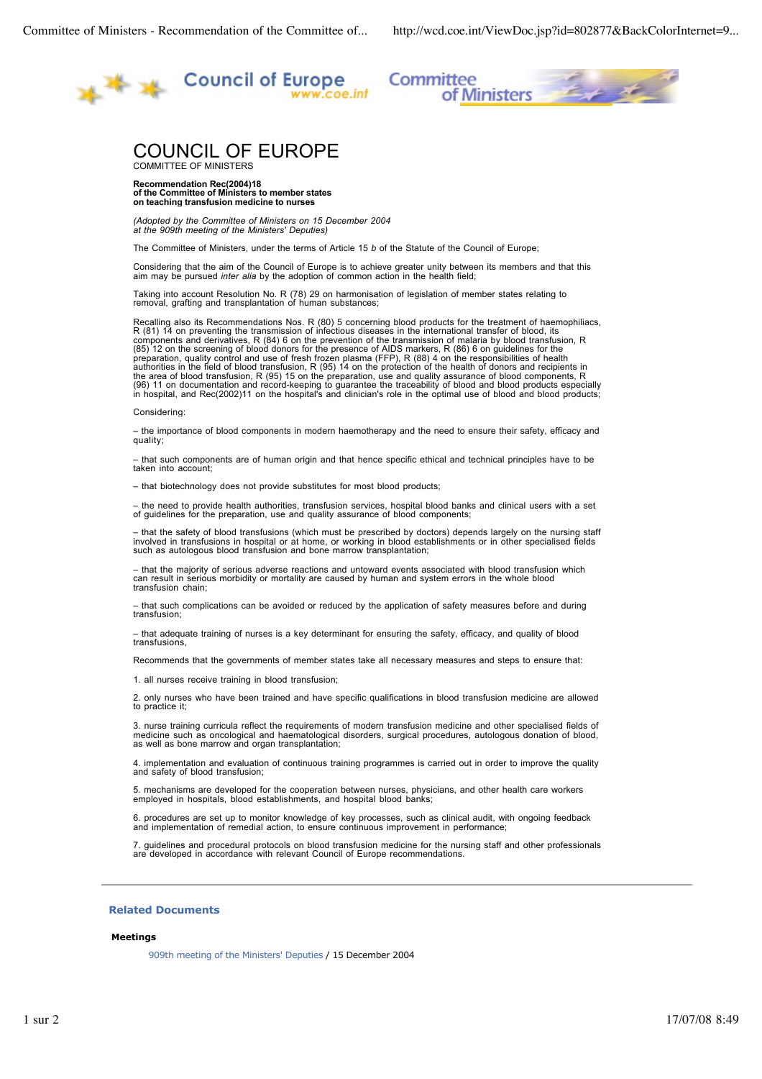

Committee ittee<br>of Ministers

# COUNCIL OF EUROPE

COMMITTEE OF MINISTERS

**Recommendation Rec(2004)18 of the Committee of Ministers to member states on teaching transfusion medicine to nurses**

*(Adopted by the Committee of Ministers on 15 December 2004 at the 909th meeting of the Ministers' Deputies)*

The Committee of Ministers, under the terms of Article 15 *b* of the Statute of the Council of Europe;

Considering that the aim of the Council of Europe is to achieve greater unity between its members and that this aim may be pursued *inter alia* by the adoption of common action in the health field;

Taking into account Resolution No. R (78) 29 on harmonisation of legislation of member states relating to removal, grafting and transplantation of human substances;

Recalling also its Recommendations Nos. R (80) 5 concerning blood products for the treatment of haemophiliacs,<br>R (81) 14 on preventing the transmission of infectious diseases in the international transfer of blood, its<br>com the area of blood transfusion, R (95) 15 on the preparation, use and quality assurance of blood components, R<br>(96) 11 on documentation and record-keeping to guarantee the traceability of blood and blood products especially

#### Considering:

– the importance of blood components in modern haemotherapy and the need to ensure their safety, efficacy and quality;

– that such components are of human origin and that hence specific ethical and technical principles have to be taken into account;

– that biotechnology does not provide substitutes for most blood products;

– the need to provide health authorities, transfusion services, hospital blood banks and clinical users with a set of guidelines for the preparation, use and quality assurance of blood components;

– that the safety of blood transfusions (which must be prescribed by doctors) depends largely on the nursing staff involved in transfusions in hospital or at home, or working in blood establishments or in other specialised fields such as autologous blood transfusion and bone marrow transplantation;

– that the majority of serious adverse reactions and untoward events associated with blood transfusion which can result in serious morbidity or mortality are caused by human and system errors in the whole blood transfusion chain;

– that such complications can be avoided or reduced by the application of safety measures before and during transfusion;

– that adequate training of nurses is a key determinant for ensuring the safety, efficacy, and quality of blood transfusions,

Recommends that the governments of member states take all necessary measures and steps to ensure that:

1. all nurses receive training in blood transfusion;

2. only nurses who have been trained and have specific qualifications in blood transfusion medicine are allowed to practice it;

3. nurse training curricula reflect the requirements of modern transfusion medicine and other specialised fields of<br>medicine such as oncological and haematological disorders, surgical procedures, autologous donation of blo as well as bone marrow and organ transplantation;

4. implementation and evaluation of continuous training programmes is carried out in order to improve the quality and safety of blood transfusion;

5. mechanisms are developed for the cooperation between nurses, physicians, and other health care workers employed in hospitals, blood establishments, and hospital blood banks;

6. procedures are set up to monitor knowledge of key processes, such as clinical audit, with ongoing feedback and implementation of remedial action, to ensure continuous improvement in performance;

7. guidelines and procedural protocols on blood transfusion medicine for the nursing staff and other professionals are developed in accordance with relevant Council of Europe recommendations.

## **Related Documents**

### **Meetings**

909th meeting of the Ministers' Deputies / 15 December 2004